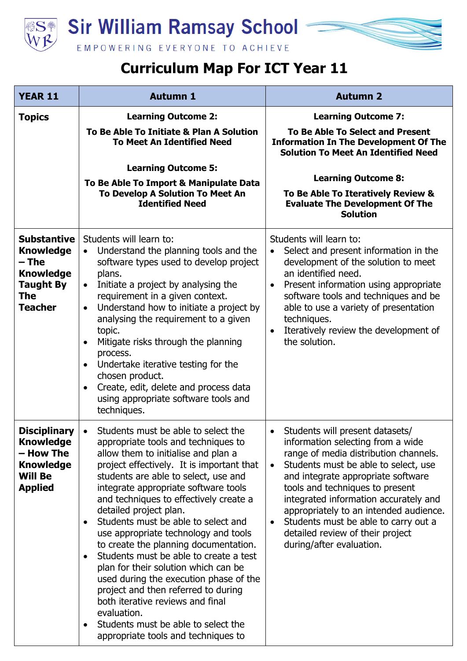

## **Curriculum Map For ICT Year 11**

| <b>YEAR 11</b>                                                                                                   | <b>Autumn 1</b>                                                                                                                                                                                                                                                                                                                                                                                                                                                                                                                                                                                                                                                                                                                                                          | <b>Autumn 2</b>                                                                                                                                                                                                                                                                                                                                                                                                                                     |
|------------------------------------------------------------------------------------------------------------------|--------------------------------------------------------------------------------------------------------------------------------------------------------------------------------------------------------------------------------------------------------------------------------------------------------------------------------------------------------------------------------------------------------------------------------------------------------------------------------------------------------------------------------------------------------------------------------------------------------------------------------------------------------------------------------------------------------------------------------------------------------------------------|-----------------------------------------------------------------------------------------------------------------------------------------------------------------------------------------------------------------------------------------------------------------------------------------------------------------------------------------------------------------------------------------------------------------------------------------------------|
| <b>Topics</b>                                                                                                    | <b>Learning Outcome 2:</b><br>To Be Able To Initiate & Plan A Solution<br><b>To Meet An Identified Need</b><br><b>Learning Outcome 5:</b><br>To Be Able To Import & Manipulate Data<br>To Develop A Solution To Meet An<br><b>Identified Need</b>                                                                                                                                                                                                                                                                                                                                                                                                                                                                                                                        | <b>Learning Outcome 7:</b><br><b>To Be Able To Select and Present</b><br><b>Information In The Development Of The</b><br><b>Solution To Meet An Identified Need</b><br><b>Learning Outcome 8:</b><br>To Be Able To Iteratively Review &<br><b>Evaluate The Development Of The</b><br><b>Solution</b>                                                                                                                                                |
| <b>Substantive</b><br><b>Knowledge</b><br>– The<br><b>Knowledge</b><br><b>Taught By</b><br>The<br><b>Teacher</b> | Students will learn to:<br>Understand the planning tools and the<br>$\bullet$<br>software types used to develop project<br>plans.<br>Initiate a project by analysing the<br>$\bullet$<br>requirement in a given context.<br>Understand how to initiate a project by<br>$\bullet$<br>analysing the requirement to a given<br>topic.<br>Mitigate risks through the planning<br>$\bullet$<br>process.<br>Undertake iterative testing for the<br>$\bullet$<br>chosen product.<br>Create, edit, delete and process data<br>$\bullet$<br>using appropriate software tools and<br>techniques.                                                                                                                                                                                   | Students will learn to:<br>Select and present information in the<br>$\bullet$<br>development of the solution to meet<br>an identified need.<br>Present information using appropriate<br>$\bullet$<br>software tools and techniques and be<br>able to use a variety of presentation<br>techniques.<br>Iteratively review the development of<br>$\bullet$<br>the solution.                                                                            |
| <b>Disciplinary</b><br><b>Knowledge</b><br>– How The<br><b>Knowledge</b><br><b>Will Be</b><br><b>Applied</b>     | Students must be able to select the<br>$\bullet$<br>appropriate tools and techniques to<br>allow them to initialise and plan a<br>project effectively. It is important that<br>students are able to select, use and<br>integrate appropriate software tools<br>and techniques to effectively create a<br>detailed project plan.<br>Students must be able to select and<br>use appropriate technology and tools<br>to create the planning documentation.<br>Students must be able to create a test<br>plan for their solution which can be<br>used during the execution phase of the<br>project and then referred to during<br>both iterative reviews and final<br>evaluation.<br>Students must be able to select the<br>$\bullet$<br>appropriate tools and techniques to | Students will present datasets/<br>$\bullet$<br>information selecting from a wide<br>range of media distribution channels.<br>Students must be able to select, use<br>$\bullet$<br>and integrate appropriate software<br>tools and techniques to present<br>integrated information accurately and<br>appropriately to an intended audience.<br>Students must be able to carry out a<br>detailed review of their project<br>during/after evaluation. |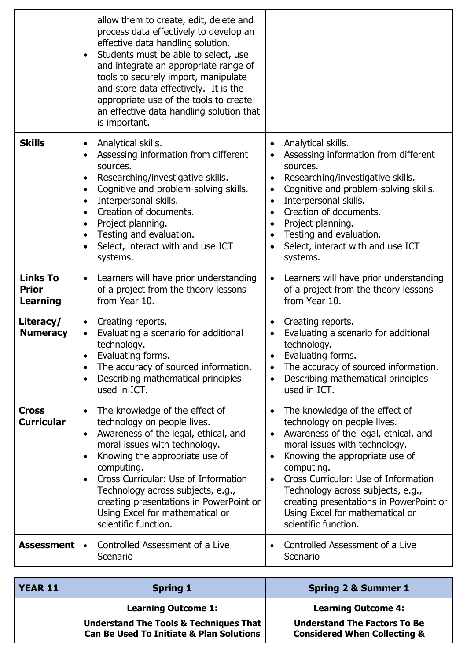|                                                    | allow them to create, edit, delete and<br>process data effectively to develop an<br>effective data handling solution.<br>Students must be able to select, use<br>$\bullet$<br>and integrate an appropriate range of<br>tools to securely import, manipulate<br>and store data effectively. It is the<br>appropriate use of the tools to create<br>an effective data handling solution that<br>is important. |                                                                                                                                                                                                                                                                                                                                                                                                                               |
|----------------------------------------------------|-------------------------------------------------------------------------------------------------------------------------------------------------------------------------------------------------------------------------------------------------------------------------------------------------------------------------------------------------------------------------------------------------------------|-------------------------------------------------------------------------------------------------------------------------------------------------------------------------------------------------------------------------------------------------------------------------------------------------------------------------------------------------------------------------------------------------------------------------------|
| <b>Skills</b>                                      | Analytical skills.<br>$\bullet$<br>Assessing information from different<br>sources.<br>Researching/investigative skills.<br>٠<br>Cognitive and problem-solving skills.<br>$\bullet$<br>Interpersonal skills.<br>$\bullet$<br>Creation of documents.<br>$\bullet$<br>Project planning.<br>$\bullet$<br>Testing and evaluation.<br>$\bullet$<br>Select, interact with and use ICT<br>$\bullet$<br>systems.    | Analytical skills.<br>Assessing information from different<br>sources.<br>Researching/investigative skills.<br>Cognitive and problem-solving skills.<br>$\bullet$<br>Interpersonal skills.<br>$\bullet$<br>Creation of documents.<br>$\bullet$<br>Project planning.<br>$\bullet$<br>Testing and evaluation.<br>Select, interact with and use ICT<br>$\bullet$<br>systems.                                                     |
| <b>Links To</b><br><b>Prior</b><br><b>Learning</b> | Learners will have prior understanding<br>$\bullet$<br>of a project from the theory lessons<br>from Year 10.                                                                                                                                                                                                                                                                                                | Learners will have prior understanding<br>$\bullet$<br>of a project from the theory lessons<br>from Year 10.                                                                                                                                                                                                                                                                                                                  |
| Literacy/<br><b>Numeracy</b>                       | Creating reports.<br>$\bullet$<br>Evaluating a scenario for additional<br>technology.<br>Evaluating forms.<br>$\bullet$<br>The accuracy of sourced information.<br>$\bullet$<br>Describing mathematical principles<br>$\bullet$<br>used in ICT.                                                                                                                                                             | Creating reports.<br>$\bullet$<br>Evaluating a scenario for additional<br>technology.<br>Evaluating forms.<br>The accuracy of sourced information.<br>$\bullet$<br>Describing mathematical principles<br>used in ICT.                                                                                                                                                                                                         |
| <b>Cross</b><br><b>Curricular</b>                  | The knowledge of the effect of<br>$\bullet$<br>technology on people lives.<br>Awareness of the legal, ethical, and<br>$\bullet$<br>moral issues with technology.<br>Knowing the appropriate use of<br>٠<br>computing.<br>Cross Curricular: Use of Information<br>Technology across subjects, e.g.,<br>creating presentations in PowerPoint or<br>Using Excel for mathematical or<br>scientific function.    | The knowledge of the effect of<br>$\bullet$<br>technology on people lives.<br>Awareness of the legal, ethical, and<br>$\bullet$<br>moral issues with technology.<br>Knowing the appropriate use of<br>$\bullet$<br>computing.<br>Cross Curricular: Use of Information<br>$\bullet$<br>Technology across subjects, e.g.,<br>creating presentations in PowerPoint or<br>Using Excel for mathematical or<br>scientific function. |
| <b>Assessment</b>                                  | Controlled Assessment of a Live<br>$\bullet$<br>Scenario                                                                                                                                                                                                                                                                                                                                                    | Controlled Assessment of a Live<br>Scenario                                                                                                                                                                                                                                                                                                                                                                                   |

| <b>YEAR 11</b> | <b>Spring 1</b>                                                                                          | <b>Spring 2 &amp; Summer 1</b>                                                 |
|----------------|----------------------------------------------------------------------------------------------------------|--------------------------------------------------------------------------------|
|                | <b>Learning Outcome 1:</b>                                                                               | <b>Learning Outcome 4:</b>                                                     |
|                | <b>Understand The Tools &amp; Techniques That</b><br><b>Can Be Used To Initiate &amp; Plan Solutions</b> | <b>Understand The Factors To Be</b><br><b>Considered When Collecting &amp;</b> |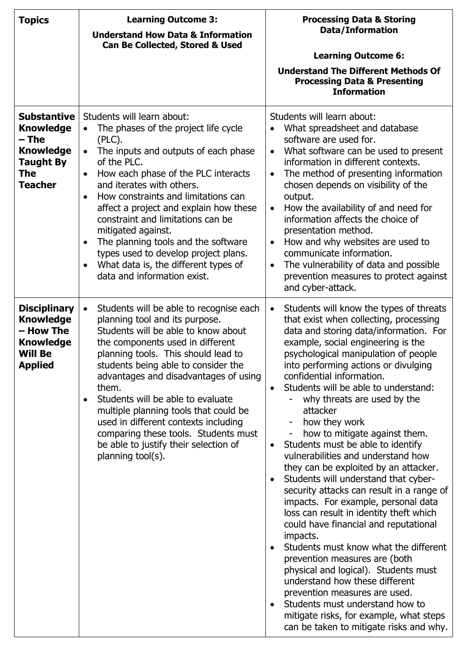| <b>Topics</b>                                                                                                    | <b>Learning Outcome 3:</b><br><b>Understand How Data &amp; Information</b><br><b>Can Be Collected, Stored &amp; Used</b>                                                                                                                                                                                                                                                                                                                                                                                                                                                      | <b>Processing Data &amp; Storing</b><br><b>Data/Information</b><br><b>Learning Outcome 6:</b><br><b>Understand The Different Methods Of</b><br><b>Processing Data &amp; Presenting</b><br><b>Information</b>                                                                                                                                                                                                                                                                                                                                                                                                                                                                                                                                                                                                                                                                                                                                                                                                                                                                                                                  |
|------------------------------------------------------------------------------------------------------------------|-------------------------------------------------------------------------------------------------------------------------------------------------------------------------------------------------------------------------------------------------------------------------------------------------------------------------------------------------------------------------------------------------------------------------------------------------------------------------------------------------------------------------------------------------------------------------------|-------------------------------------------------------------------------------------------------------------------------------------------------------------------------------------------------------------------------------------------------------------------------------------------------------------------------------------------------------------------------------------------------------------------------------------------------------------------------------------------------------------------------------------------------------------------------------------------------------------------------------------------------------------------------------------------------------------------------------------------------------------------------------------------------------------------------------------------------------------------------------------------------------------------------------------------------------------------------------------------------------------------------------------------------------------------------------------------------------------------------------|
| <b>Substantive</b><br><b>Knowledge</b><br>– The<br><b>Knowledge</b><br><b>Taught By</b><br>The<br><b>Teacher</b> | Students will learn about:<br>The phases of the project life cycle<br>$\bullet$<br>$(PLC)$ .<br>The inputs and outputs of each phase<br>$\bullet$<br>of the PLC.<br>How each phase of the PLC interacts<br>and iterates with others.<br>How constraints and limitations can<br>$\bullet$<br>affect a project and explain how these<br>constraint and limitations can be<br>mitigated against.<br>The planning tools and the software<br>$\bullet$<br>types used to develop project plans.<br>What data is, the different types of<br>$\bullet$<br>data and information exist. | Students will learn about:<br>What spreadsheet and database<br>$\bullet$<br>software are used for.<br>What software can be used to present<br>$\bullet$<br>information in different contexts.<br>The method of presenting information<br>$\bullet$<br>chosen depends on visibility of the<br>output.<br>How the availability of and need for<br>$\bullet$<br>information affects the choice of<br>presentation method.<br>How and why websites are used to<br>$\bullet$<br>communicate information.<br>The vulnerability of data and possible<br>$\bullet$<br>prevention measures to protect against<br>and cyber-attack.                                                                                                                                                                                                                                                                                                                                                                                                                                                                                                     |
| <b>Disciplinary</b><br><b>Knowledge</b><br>- How The<br><b>Knowledge</b><br><b>Will Be</b><br><b>Applied</b>     | Students will be able to recognise each<br>$\bullet$<br>planning tool and its purpose.<br>Students will be able to know about<br>the components used in different<br>planning tools. This should lead to<br>students being able to consider the<br>advantages and disadvantages of using<br>them.<br>Students will be able to evaluate<br>multiple planning tools that could be<br>used in different contexts including<br>comparing these tools. Students must<br>be able to justify their selection of<br>planning tool(s).                                                 | Students will know the types of threats<br>$\bullet$<br>that exist when collecting, processing<br>data and storing data/information. For<br>example, social engineering is the<br>psychological manipulation of people<br>into performing actions or divulging<br>confidential information.<br>Students will be able to understand:<br>$\bullet$<br>why threats are used by the<br>attacker<br>how they work<br>how to mitigate against them.<br>-<br>Students must be able to identify<br>$\bullet$<br>vulnerabilities and understand how<br>they can be exploited by an attacker.<br>Students will understand that cyber-<br>security attacks can result in a range of<br>impacts. For example, personal data<br>loss can result in identity theft which<br>could have financial and reputational<br>impacts.<br>Students must know what the different<br>prevention measures are (both<br>physical and logical). Students must<br>understand how these different<br>prevention measures are used.<br>Students must understand how to<br>mitigate risks, for example, what steps<br>can be taken to mitigate risks and why. |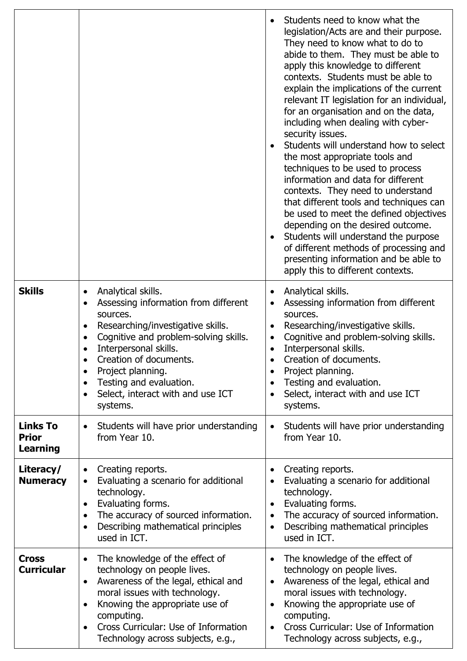|                                                    |                                                                                                                                                                                                                                                                                                                                                                                     | Students need to know what the<br>legislation/Acts are and their purpose.<br>They need to know what to do to<br>abide to them. They must be able to<br>apply this knowledge to different<br>contexts. Students must be able to<br>explain the implications of the current<br>relevant IT legislation for an individual,<br>for an organisation and on the data,<br>including when dealing with cyber-<br>security issues.<br>Students will understand how to select<br>the most appropriate tools and<br>techniques to be used to process<br>information and data for different<br>contexts. They need to understand<br>that different tools and techniques can<br>be used to meet the defined objectives<br>depending on the desired outcome.<br>Students will understand the purpose<br>of different methods of processing and<br>presenting information and be able to<br>apply this to different contexts. |
|----------------------------------------------------|-------------------------------------------------------------------------------------------------------------------------------------------------------------------------------------------------------------------------------------------------------------------------------------------------------------------------------------------------------------------------------------|----------------------------------------------------------------------------------------------------------------------------------------------------------------------------------------------------------------------------------------------------------------------------------------------------------------------------------------------------------------------------------------------------------------------------------------------------------------------------------------------------------------------------------------------------------------------------------------------------------------------------------------------------------------------------------------------------------------------------------------------------------------------------------------------------------------------------------------------------------------------------------------------------------------|
| <b>Skills</b>                                      | Analytical skills.<br>$\bullet$<br>Assessing information from different<br>٠<br>sources.<br>Researching/investigative skills.<br>$\bullet$<br>Cognitive and problem-solving skills.<br>$\bullet$<br>Interpersonal skills.<br>Creation of documents.<br>Project planning.<br>٠<br>Testing and evaluation.<br>$\bullet$<br>Select, interact with and use ICT<br>$\bullet$<br>systems. | Analytical skills.<br>Assessing information from different<br>٠<br>sources.<br>Researching/investigative skills.<br>٠<br>Cognitive and problem-solving skills.<br>$\bullet$<br>Interpersonal skills.<br>Creation of documents.<br>Project planning.<br>$\bullet$<br>Testing and evaluation.<br>$\bullet$<br>Select, interact with and use ICT<br>$\bullet$<br>systems.                                                                                                                                                                                                                                                                                                                                                                                                                                                                                                                                         |
| <b>Links To</b><br><b>Prior</b><br><b>Learning</b> | Students will have prior understanding<br>$\bullet$<br>from Year 10.                                                                                                                                                                                                                                                                                                                | Students will have prior understanding<br>$\bullet$<br>from Year 10.                                                                                                                                                                                                                                                                                                                                                                                                                                                                                                                                                                                                                                                                                                                                                                                                                                           |
| Literacy/<br><b>Numeracy</b>                       | Creating reports.<br>$\bullet$<br>Evaluating a scenario for additional<br>$\bullet$<br>technology.<br>Evaluating forms.<br>$\bullet$<br>The accuracy of sourced information.<br>$\bullet$<br>Describing mathematical principles<br>$\bullet$<br>used in ICT.                                                                                                                        | Creating reports.<br>$\bullet$<br>Evaluating a scenario for additional<br>$\bullet$<br>technology.<br>Evaluating forms.<br>$\bullet$<br>The accuracy of sourced information.<br>$\bullet$<br>Describing mathematical principles<br>$\bullet$<br>used in ICT.                                                                                                                                                                                                                                                                                                                                                                                                                                                                                                                                                                                                                                                   |
| <b>Cross</b><br><b>Curricular</b>                  | The knowledge of the effect of<br>$\bullet$<br>technology on people lives.<br>Awareness of the legal, ethical and<br>$\bullet$<br>moral issues with technology.<br>Knowing the appropriate use of<br>$\bullet$<br>computing.<br>Cross Curricular: Use of Information<br>$\bullet$<br>Technology across subjects, e.g.,                                                              | The knowledge of the effect of<br>$\bullet$<br>technology on people lives.<br>Awareness of the legal, ethical and<br>$\bullet$<br>moral issues with technology.<br>Knowing the appropriate use of<br>computing.<br>Cross Curricular: Use of Information<br>Technology across subjects, e.g.,                                                                                                                                                                                                                                                                                                                                                                                                                                                                                                                                                                                                                   |